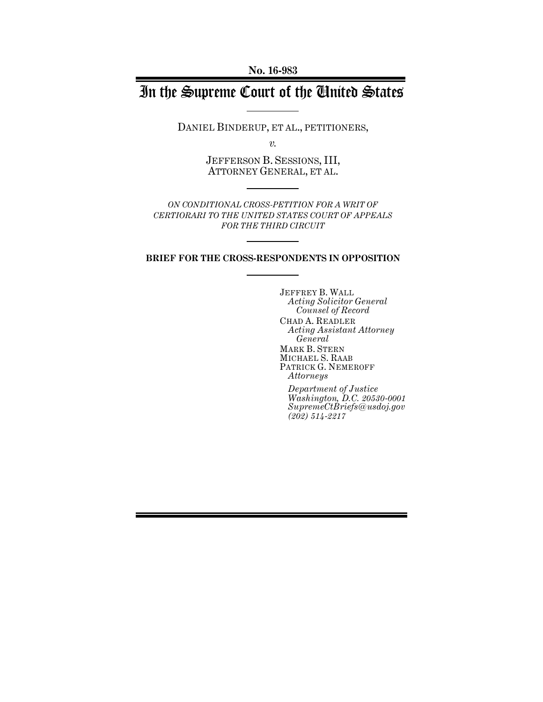**No. 16-983**

# In the Supreme Court of the United States

DANIEL BINDERUP, ET AL., PETITIONERS,

*v.*

JEFFERSON B. SESSIONS, III, ATTORNEY GENERAL, ET AL.

*ON CONDITIONAL CROSS-PETITION FOR A WRIT OF CERTIORARI TO THE UNITED STATES COURT OF APPEALS FOR THE THIRD CIRCUIT*

**BRIEF FOR THE CROSS-RESPONDENTS IN OPPOSITION**

JEFFREY B. WALL *Acting Solicitor General Counsel of Record* CHAD A. READLER *Acting Assistant Attorney General* MARK B. STERN MICHAEL S. RAAB PATRICK G. NEMEROFF *Attorneys*

*Department of Justice Washington, D.C. 20530-0001 SupremeCtBriefs@usdoj.gov (202) 514-2217*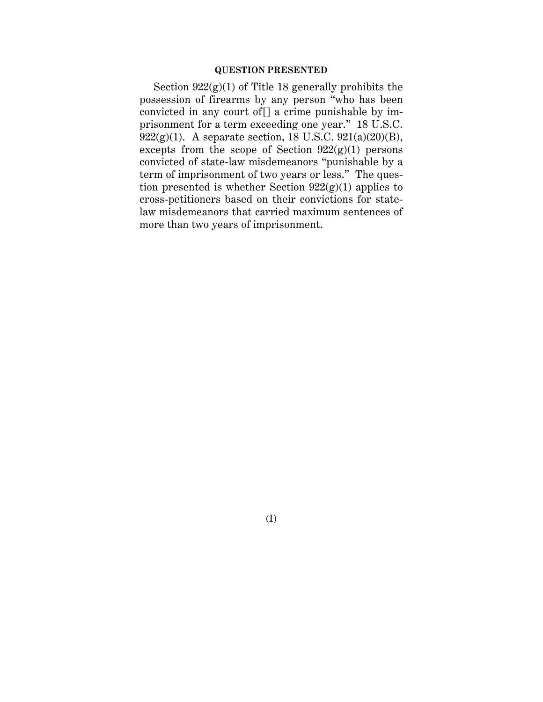### **QUESTION PRESENTED**

Section 922(g)(1) of Title 18 generally prohibits the possession of firearms by any person "who has been convicted in any court of[] a crime punishable by imprisonment for a term exceeding one year." 18 U.S.C. 922(g)(1). A separate section, 18 U.S.C. 921(a)(20)(B), excepts from the scope of Section  $922(g)(1)$  persons convicted of state-law misdemeanors "punishable by a term of imprisonment of two years or less." The question presented is whether Section  $922(g)(1)$  applies to cross-petitioners based on their convictions for statelaw misdemeanors that carried maximum sentences of more than two years of imprisonment.

(I)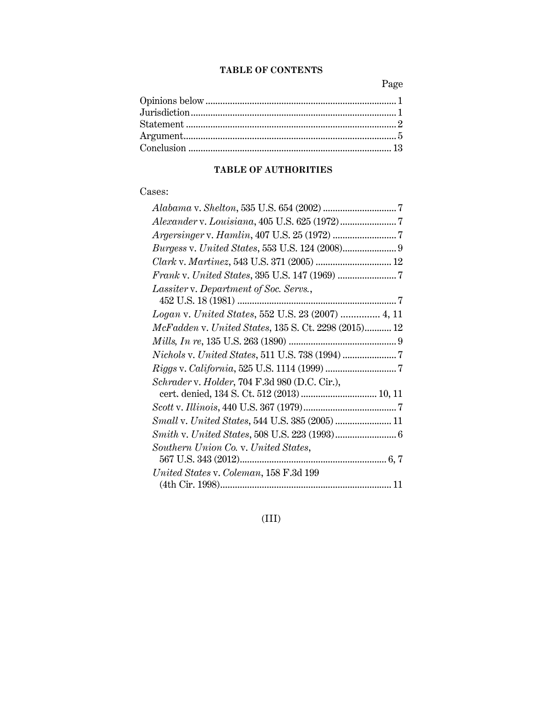## **TABLE OF CONTENTS**

Page

### **TABLE OF AUTHORITIES**

## Cases:

| <i>Burgess v. United States, 553 U.S. 124 (2008)</i> 9 |
|--------------------------------------------------------|
| Clark v. Martinez, 543 U.S. 371 (2005)  12             |
|                                                        |
| Lassiter v. Department of Soc. Servs.,                 |
|                                                        |
| Logan v. United States, 552 U.S. 23 (2007)  4, 11      |
| McFadden v. United States, 135 S. Ct. 2298 (2015) 12   |
|                                                        |
|                                                        |
|                                                        |
| Schrader v. Holder, 704 F.3d 980 (D.C. Cir.),          |
| cert. denied, 134 S. Ct. 512 (2013)  10, 11            |
|                                                        |
| Small v. United States, 544 U.S. 385 (2005)  11        |
|                                                        |
| Southern Union Co. v. United States,                   |
|                                                        |
| United States v. Coleman, 158 F.3d 199                 |
|                                                        |

## (III)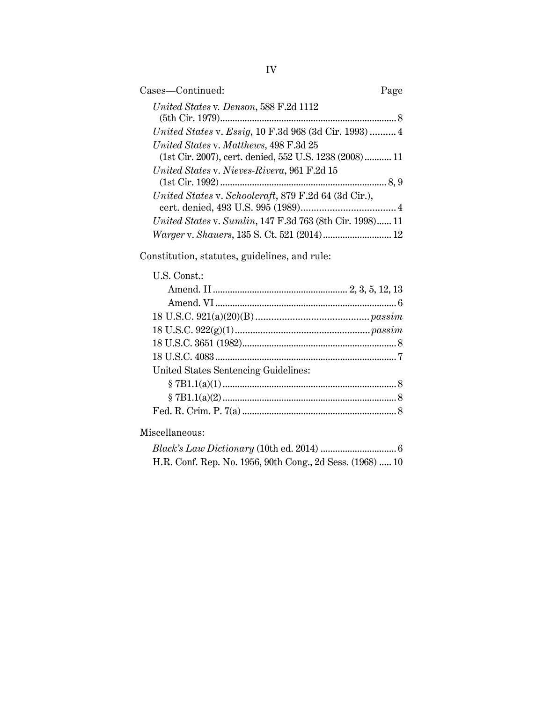| Cases-Continued:                                                                                 | Page |
|--------------------------------------------------------------------------------------------------|------|
| United States v. Denson, 588 F.2d 1112                                                           |      |
| United States v. Essig, 10 F.3d 968 (3d Cir. 1993)  4                                            |      |
| United States v. Matthews, 498 F.3d 25<br>(1st Cir. 2007), cert. denied, 552 U.S. 1238 (2008) 11 |      |
| United States v. Nieves-Rivera, 961 F.2d 15                                                      |      |
| United States v. Schoolcraft, 879 F.2d 64 (3d Cir.),                                             |      |
| <i>United States v. Sumlin, 147 F.3d 763 (8th Cir. 1998) 11</i>                                  |      |
|                                                                                                  |      |

Constitution, statutes, guidelines, and rule:

| U.S. Const.:                         |  |
|--------------------------------------|--|
|                                      |  |
|                                      |  |
|                                      |  |
|                                      |  |
|                                      |  |
|                                      |  |
| United States Sentencing Guidelines: |  |
|                                      |  |
|                                      |  |
|                                      |  |
|                                      |  |

## Miscellaneous:

| H.R. Conf. Rep. No. 1956, 90th Cong., 2d Sess. (1968)  10 |  |
|-----------------------------------------------------------|--|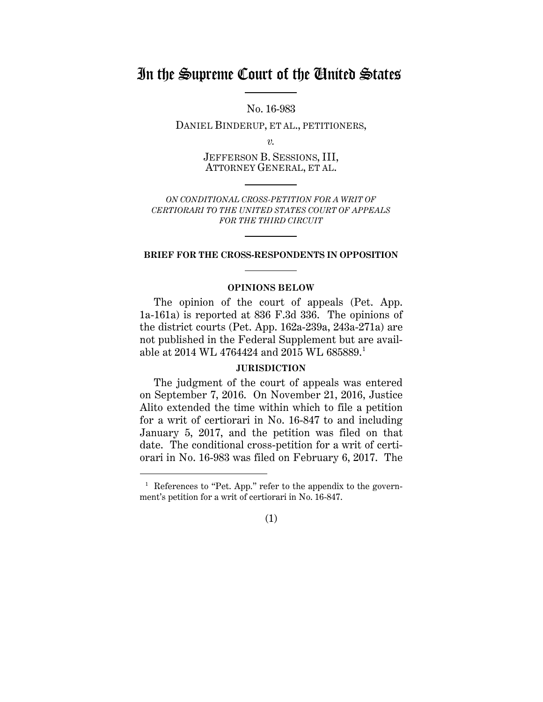## In the Supreme Court of the United States

No. 16-983

DANIEL BINDERUP, ET AL., PETITIONERS,

*v.*

JEFFERSON B. SESSIONS, III, ATTORNEY GENERAL, ET AL.

*ON CONDITIONAL CROSS-PETITION FOR A WRIT OF CERTIORARI TO THE UNITED STATES COURT OF APPEALS FOR THE THIRD CIRCUIT*

### **BRIEF FOR THE CROSS-RESPONDENTS IN OPPOSITION**

### **OPINIONS BELOW**

The opinion of the court of appeals (Pet. App. 1a-161a) is reported at 836 F.3d 336. The opinions of the district courts (Pet. App. 162a-239a, 243a-271a) are not published in the Federal Supplement but are available at 2014 WL 4764424 and 2015 WL 685889.1

### **JURISDICTION**

The judgment of the court of appeals was entered on September 7, 2016. On November 21, 2016, Justice Alito extended the time within which to file a petition for a writ of certiorari in No. 16-847 to and including January 5, 2017, and the petition was filed on that date. The conditional cross-petition for a writ of certiorari in No. 16-983 was filed on February 6, 2017. The

 $\overline{a}$ 



<sup>&</sup>lt;sup>1</sup> References to "Pet. App." refer to the appendix to the government's petition for a writ of certiorari in No. 16-847.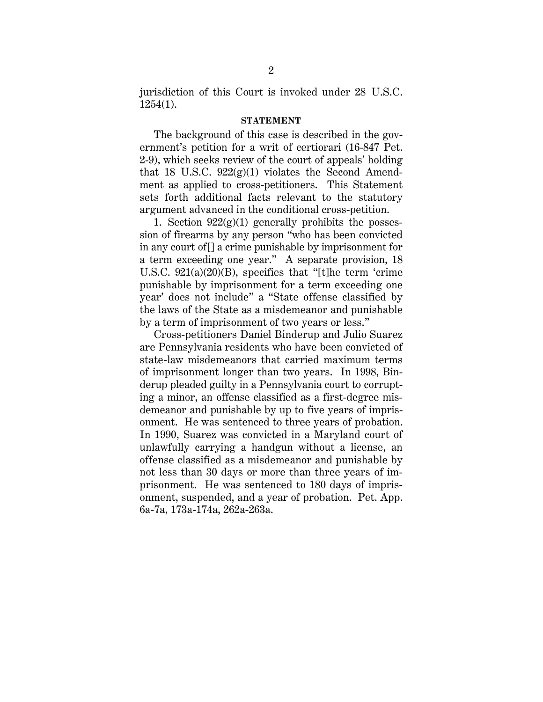jurisdiction of this Court is invoked under 28 U.S.C. 1254(1).

#### **STATEMENT**

The background of this case is described in the government's petition for a writ of certiorari (16-847 Pet. 2-9), which seeks review of the court of appeals' holding that 18 U.S.C.  $922(g)(1)$  violates the Second Amendment as applied to cross-petitioners. This Statement sets forth additional facts relevant to the statutory argument advanced in the conditional cross-petition.

1. Section  $922(g)(1)$  generally prohibits the possession of firearms by any person "who has been convicted in any court of[] a crime punishable by imprisonment for a term exceeding one year." A separate provision, 18 U.S.C. 921(a)(20)(B), specifies that "[t]he term 'crime punishable by imprisonment for a term exceeding one year' does not include" a "State offense classified by the laws of the State as a misdemeanor and punishable by a term of imprisonment of two years or less."

Cross-petitioners Daniel Binderup and Julio Suarez are Pennsylvania residents who have been convicted of state-law misdemeanors that carried maximum terms of imprisonment longer than two years. In 1998, Binderup pleaded guilty in a Pennsylvania court to corrupting a minor, an offense classified as a first-degree misdemeanor and punishable by up to five years of imprisonment. He was sentenced to three years of probation. In 1990, Suarez was convicted in a Maryland court of unlawfully carrying a handgun without a license, an offense classified as a misdemeanor and punishable by not less than 30 days or more than three years of imprisonment. He was sentenced to 180 days of imprisonment, suspended, and a year of probation. Pet. App. 6a-7a, 173a-174a, 262a-263a.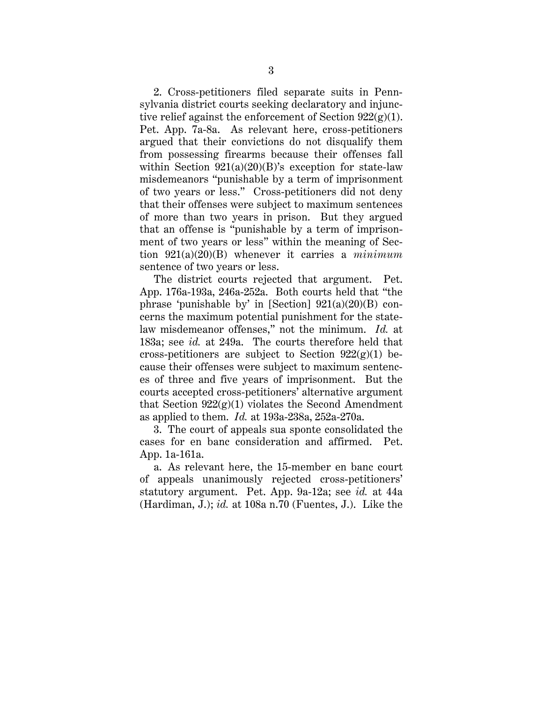2. Cross-petitioners filed separate suits in Pennsylvania district courts seeking declaratory and injunctive relief against the enforcement of Section  $922(g)(1)$ . Pet. App. 7a-8a. As relevant here, cross-petitioners argued that their convictions do not disqualify them from possessing firearms because their offenses fall within Section  $921(a)(20)(B)$ 's exception for state-law misdemeanors "punishable by a term of imprisonment of two years or less." Cross-petitioners did not deny that their offenses were subject to maximum sentences of more than two years in prison. But they argued that an offense is "punishable by a term of imprisonment of two years or less" within the meaning of Section 921(a)(20)(B) whenever it carries a *minimum* sentence of two years or less.

The district courts rejected that argument. Pet. App. 176a-193a, 246a-252a. Both courts held that "the phrase 'punishable by' in [Section]  $921(a)(20)(B)$  concerns the maximum potential punishment for the statelaw misdemeanor offenses," not the minimum. *Id.* at 183a; see *id.* at 249a. The courts therefore held that cross-petitioners are subject to Section  $922(g)(1)$  because their offenses were subject to maximum sentences of three and five years of imprisonment. But the courts accepted cross-petitioners' alternative argument that Section  $922(g)(1)$  violates the Second Amendment as applied to them. *Id.* at 193a-238a, 252a-270a.

3. The court of appeals sua sponte consolidated the cases for en banc consideration and affirmed. Pet. App. 1a-161a.

a. As relevant here, the 15-member en banc court of appeals unanimously rejected cross-petitioners' statutory argument. Pet. App. 9a-12a; see *id.* at 44a (Hardiman, J.); *id.* at 108a n.70 (Fuentes, J.). Like the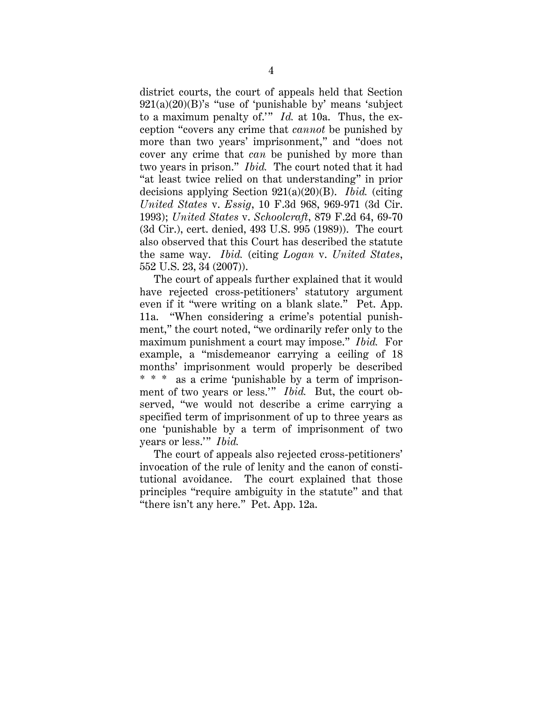district courts, the court of appeals held that Section  $921(a)(20)(B)$ 's "use of 'punishable by' means 'subject to a maximum penalty of.'" *Id.* at 10a. Thus, the exception "covers any crime that *cannot* be punished by more than two years' imprisonment," and "does not cover any crime that *can* be punished by more than two years in prison." *Ibid.* The court noted that it had "at least twice relied on that understanding" in prior decisions applying Section 921(a)(20)(B). *Ibid.* (citing *United States* v. *Essig*, 10 F.3d 968, 969-971 (3d Cir. 1993); *United States* v. *Schoolcraft*, 879 F.2d 64, 69-70 (3d Cir.), cert. denied, 493 U.S. 995 (1989)). The court also observed that this Court has described the statute the same way. *Ibid.* (citing *Logan* v. *United States*, 552 U.S. 23, 34 (2007)).

The court of appeals further explained that it would have rejected cross-petitioners' statutory argument even if it "were writing on a blank slate." Pet. App. 11a. "When considering a crime's potential punishment," the court noted, "we ordinarily refer only to the maximum punishment a court may impose." *Ibid.* For example, a "misdemeanor carrying a ceiling of 18 months' imprisonment would properly be described \* \* \* as a crime 'punishable by a term of imprisonment of two years or less.'" *Ibid.* But, the court observed, "we would not describe a crime carrying a specified term of imprisonment of up to three years as one 'punishable by a term of imprisonment of two years or less.'" *Ibid.*

The court of appeals also rejected cross-petitioners' invocation of the rule of lenity and the canon of constitutional avoidance. The court explained that those principles "require ambiguity in the statute" and that "there isn't any here." Pet. App. 12a.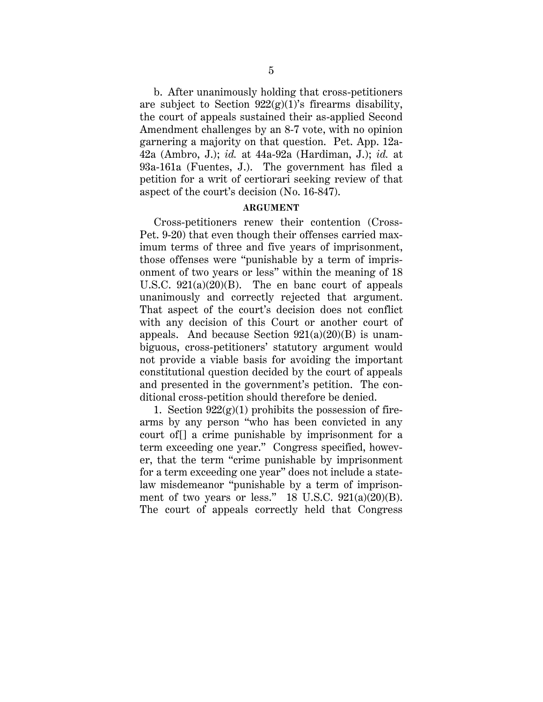b. After unanimously holding that cross-petitioners are subject to Section  $922(g)(1)$ 's firearms disability, the court of appeals sustained their as-applied Second Amendment challenges by an 8-7 vote, with no opinion garnering a majority on that question. Pet. App. 12a-42a (Ambro, J.); *id.* at 44a-92a (Hardiman, J.); *id.* at 93a-161a (Fuentes, J.). The government has filed a petition for a writ of certiorari seeking review of that aspect of the court's decision (No. 16-847).

### **ARGUMENT**

Cross-petitioners renew their contention (Cross-Pet. 9-20) that even though their offenses carried maximum terms of three and five years of imprisonment, those offenses were "punishable by a term of imprisonment of two years or less" within the meaning of 18 U.S.C.  $921(a)(20)(B)$ . The en banc court of appeals unanimously and correctly rejected that argument. That aspect of the court's decision does not conflict with any decision of this Court or another court of appeals. And because Section  $921(a)(20)(B)$  is unambiguous, cross-petitioners' statutory argument would not provide a viable basis for avoiding the important constitutional question decided by the court of appeals and presented in the government's petition. The conditional cross-petition should therefore be denied.

1. Section  $922(g)(1)$  prohibits the possession of firearms by any person "who has been convicted in any court of[] a crime punishable by imprisonment for a term exceeding one year." Congress specified, however, that the term "crime punishable by imprisonment for a term exceeding one year" does not include a statelaw misdemeanor "punishable by a term of imprisonment of two years or less."  $18$  U.S.C.  $921(a)(20)(B)$ . The court of appeals correctly held that Congress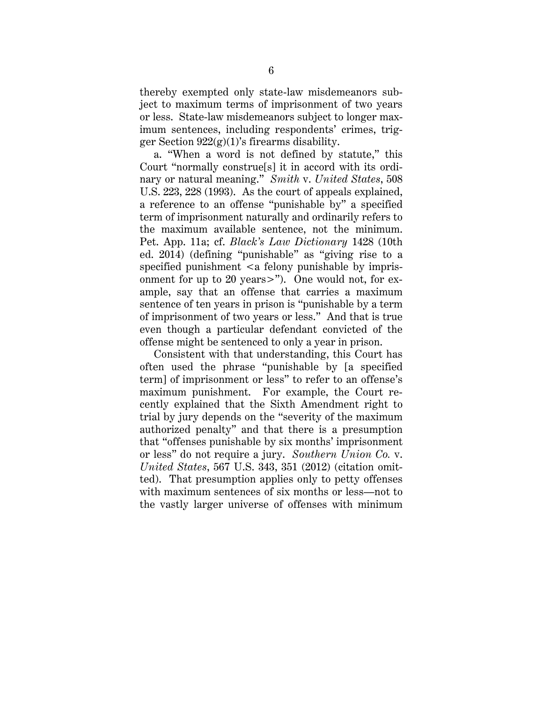thereby exempted only state-law misdemeanors subject to maximum terms of imprisonment of two years or less. State-law misdemeanors subject to longer maximum sentences, including respondents' crimes, trigger Section  $922(g)(1)$ 's firearms disability.

a. "When a word is not defined by statute," this Court "normally construe[s] it in accord with its ordinary or natural meaning." *Smith* v. *United States*, 508 U.S. 223, 228 (1993). As the court of appeals explained, a reference to an offense "punishable by" a specified term of imprisonment naturally and ordinarily refers to the maximum available sentence, not the minimum. Pet. App. 11a; cf. *Black's Law Dictionary* 1428 (10th ed. 2014) (defining "punishable" as "giving rise to a specified punishment  $\langle a \rangle$  felony punishable by imprisonment for up to 20 years>"). One would not, for example, say that an offense that carries a maximum sentence of ten years in prison is "punishable by a term of imprisonment of two years or less." And that is true even though a particular defendant convicted of the offense might be sentenced to only a year in prison.

Consistent with that understanding, this Court has often used the phrase "punishable by [a specified term] of imprisonment or less" to refer to an offense's maximum punishment. For example, the Court recently explained that the Sixth Amendment right to trial by jury depends on the "severity of the maximum authorized penalty" and that there is a presumption that "offenses punishable by six months' imprisonment or less" do not require a jury. *Southern Union Co.* v. *United States*, 567 U.S. 343, 351 (2012) (citation omitted). That presumption applies only to petty offenses with maximum sentences of six months or less—not to the vastly larger universe of offenses with minimum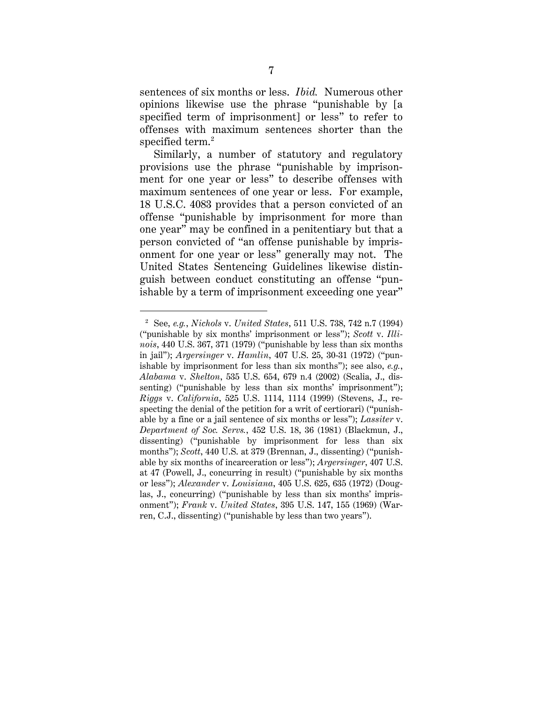sentences of six months or less. *Ibid.* Numerous other opinions likewise use the phrase "punishable by [a specified term of imprisonment] or less" to refer to offenses with maximum sentences shorter than the specified term.<sup>2</sup>

Similarly, a number of statutory and regulatory provisions use the phrase "punishable by imprisonment for one year or less" to describe offenses with maximum sentences of one year or less. For example, 18 U.S.C. 4083 provides that a person convicted of an offense "punishable by imprisonment for more than one year" may be confined in a penitentiary but that a person convicted of "an offense punishable by imprisonment for one year or less" generally may not. The United States Sentencing Guidelines likewise distinguish between conduct constituting an offense "punishable by a term of imprisonment exceeding one year"

 $\overline{a}$ 

<sup>2</sup> See, *e.g.*, *Nichols* v. *United States*, 511 U.S. 738, 742 n.7 (1994) ("punishable by six months' imprisonment or less"); *Scott* v. *Illinois*, 440 U.S. 367, 371 (1979) ("punishable by less than six months in jail"); *Argersinger* v. *Hamlin*, 407 U.S. 25, 30-31 (1972) ("punishable by imprisonment for less than six months"); see also, *e.g.*, *Alabama* v. *Shelton*, 535 U.S. 654, 679 n.4 (2002) (Scalia, J., dissenting) ("punishable by less than six months' imprisonment"); *Riggs* v. *California*, 525 U.S. 1114, 1114 (1999) (Stevens, J., respecting the denial of the petition for a writ of certiorari) ("punishable by a fine or a jail sentence of six months or less"); *Lassiter* v. *Department of Soc. Servs.*, 452 U.S. 18, 36 (1981) (Blackmun, J., dissenting) ("punishable by imprisonment for less than six months"); *Scott*, 440 U.S. at 379 (Brennan, J., dissenting) ("punishable by six months of incarceration or less"); *Argersinger*, 407 U.S. at 47 (Powell, J., concurring in result) ("punishable by six months or less"); *Alexander* v. *Louisiana*, 405 U.S. 625, 635 (1972) (Douglas, J., concurring) ("punishable by less than six months' imprisonment"); *Frank* v. *United States*, 395 U.S. 147, 155 (1969) (Warren, C.J., dissenting) ("punishable by less than two years").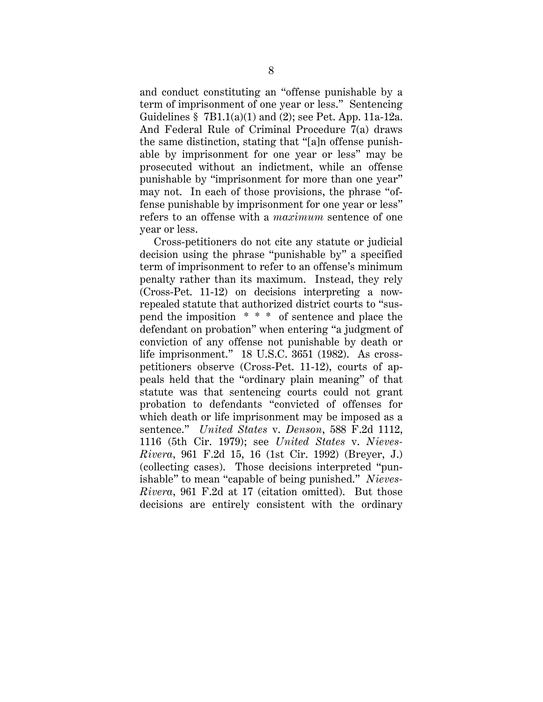and conduct constituting an "offense punishable by a term of imprisonment of one year or less." Sentencing Guidelines  $\S$  7B1.1(a)(1) and (2); see Pet. App. 11a-12a. And Federal Rule of Criminal Procedure 7(a) draws the same distinction, stating that "[a]n offense punishable by imprisonment for one year or less" may be prosecuted without an indictment, while an offense punishable by "imprisonment for more than one year" may not. In each of those provisions, the phrase "offense punishable by imprisonment for one year or less" refers to an offense with a *maximum* sentence of one year or less.

Cross-petitioners do not cite any statute or judicial decision using the phrase "punishable by" a specified term of imprisonment to refer to an offense's minimum penalty rather than its maximum. Instead, they rely (Cross-Pet. 11-12) on decisions interpreting a nowrepealed statute that authorized district courts to "suspend the imposition \* \* \* of sentence and place the defendant on probation" when entering "a judgment of conviction of any offense not punishable by death or life imprisonment." 18 U.S.C. 3651 (1982). As crosspetitioners observe (Cross-Pet. 11-12), courts of appeals held that the "ordinary plain meaning" of that statute was that sentencing courts could not grant probation to defendants "convicted of offenses for which death or life imprisonment may be imposed as a sentence." *United States* v. *Denson*, 588 F.2d 1112, 1116 (5th Cir. 1979); see *United States* v. *Nieves-Rivera*, 961 F.2d 15, 16 (1st Cir. 1992) (Breyer, J.) (collecting cases). Those decisions interpreted "punishable" to mean "capable of being punished." *Nieves-Rivera*, 961 F.2d at 17 (citation omitted). But those decisions are entirely consistent with the ordinary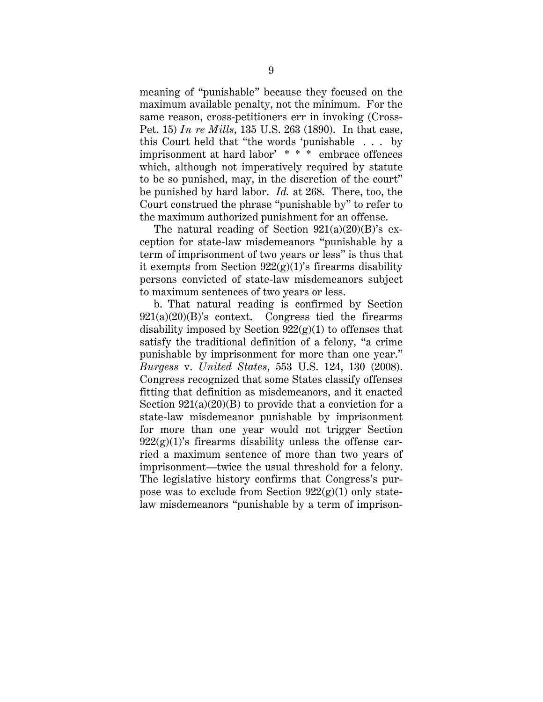meaning of "punishable" because they focused on the maximum available penalty, not the minimum. For the same reason, cross-petitioners err in invoking (Cross-Pet. 15) *In re Mills*, 135 U.S. 263 (1890). In that case, this Court held that "the words 'punishable . . . by imprisonment at hard labor' \* \* \* embrace offences which, although not imperatively required by statute to be so punished, may, in the discretion of the court" be punished by hard labor. *Id.* at 268. There, too, the Court construed the phrase "punishable by" to refer to the maximum authorized punishment for an offense.

The natural reading of Section  $921(a)(20)(B)$ 's exception for state-law misdemeanors "punishable by a term of imprisonment of two years or less" is thus that it exempts from Section  $922(g)(1)$ 's firearms disability persons convicted of state-law misdemeanors subject to maximum sentences of two years or less.

b. That natural reading is confirmed by Section  $921(a)(20)(B)$ 's context. Congress tied the firearms disability imposed by Section  $922(g)(1)$  to offenses that satisfy the traditional definition of a felony, "a crime punishable by imprisonment for more than one year." *Burgess* v. *United States*, 553 U.S. 124, 130 (2008). Congress recognized that some States classify offenses fitting that definition as misdemeanors, and it enacted Section  $921(a)(20)(B)$  to provide that a conviction for a state-law misdemeanor punishable by imprisonment for more than one year would not trigger Section  $922(g)(1)$ 's firearms disability unless the offense carried a maximum sentence of more than two years of imprisonment—twice the usual threshold for a felony. The legislative history confirms that Congress's purpose was to exclude from Section  $922(g)(1)$  only statelaw misdemeanors "punishable by a term of imprison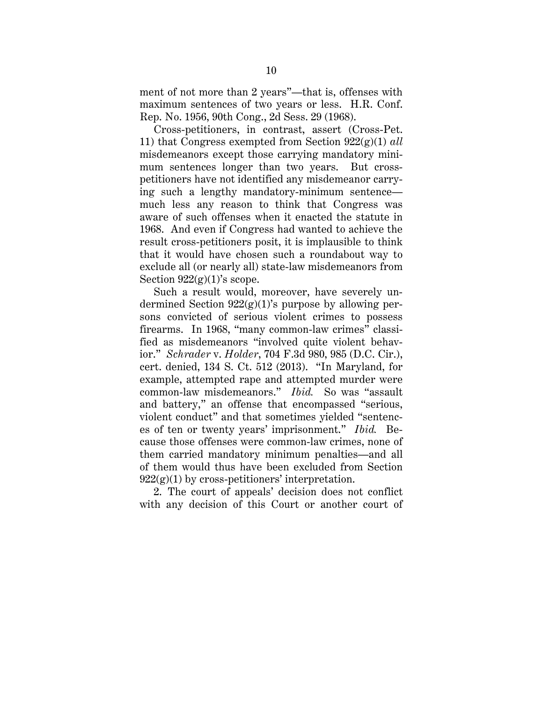ment of not more than 2 years"—that is, offenses with maximum sentences of two years or less. H.R. Conf. Rep. No. 1956, 90th Cong., 2d Sess. 29 (1968).

Cross-petitioners, in contrast, assert (Cross-Pet. 11) that Congress exempted from Section 922(g)(1) *all* misdemeanors except those carrying mandatory minimum sentences longer than two years. But crosspetitioners have not identified any misdemeanor carrying such a lengthy mandatory-minimum sentence much less any reason to think that Congress was aware of such offenses when it enacted the statute in 1968. And even if Congress had wanted to achieve the result cross-petitioners posit, it is implausible to think that it would have chosen such a roundabout way to exclude all (or nearly all) state-law misdemeanors from Section  $922(g)(1)$ 's scope.

Such a result would, moreover, have severely undermined Section  $922(g)(1)$ 's purpose by allowing persons convicted of serious violent crimes to possess firearms. In 1968, "many common-law crimes" classified as misdemeanors "involved quite violent behavior." *Schrader* v. *Holder*, 704 F.3d 980, 985 (D.C. Cir.), cert. denied, 134 S. Ct. 512 (2013). "In Maryland, for example, attempted rape and attempted murder were common-law misdemeanors." *Ibid.* So was "assault and battery," an offense that encompassed "serious, violent conduct" and that sometimes yielded "sentences of ten or twenty years' imprisonment." *Ibid.* Because those offenses were common-law crimes, none of them carried mandatory minimum penalties—and all of them would thus have been excluded from Section  $922(g)(1)$  by cross-petitioners' interpretation.

2. The court of appeals' decision does not conflict with any decision of this Court or another court of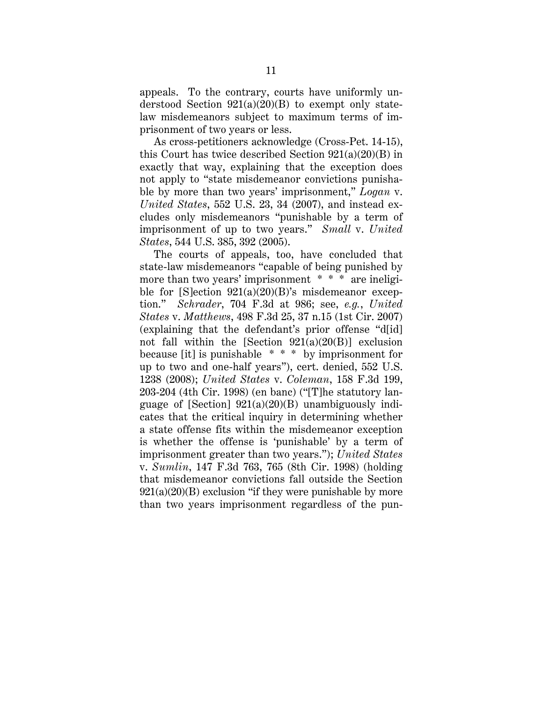appeals. To the contrary, courts have uniformly understood Section  $921(a)(20)(B)$  to exempt only statelaw misdemeanors subject to maximum terms of imprisonment of two years or less.

As cross-petitioners acknowledge (Cross-Pet. 14-15), this Court has twice described Section  $921(a)(20)(B)$  in exactly that way, explaining that the exception does not apply to "state misdemeanor convictions punishable by more than two years' imprisonment," *Logan* v. *United States*, 552 U.S. 23, 34 (2007), and instead excludes only misdemeanors "punishable by a term of imprisonment of up to two years." *Small* v. *United States*, 544 U.S. 385, 392 (2005).

The courts of appeals, too, have concluded that state-law misdemeanors "capable of being punished by more than two years' imprisonment \* \* \* are ineligible for  $[S]$ ection  $921(a)(20)(B)$ 's misdemeanor exception." *Schrader*, 704 F.3d at 986; see, *e.g.*, *United States* v. *Matthews*, 498 F.3d 25, 37 n.15 (1st Cir. 2007) (explaining that the defendant's prior offense "d[id] not fall within the [Section  $921(a)(20(B))$ ] exclusion because [it] is punishable \* \* \* by imprisonment for up to two and one-half years"), cert. denied, 552 U.S. 1238 (2008); *United States* v. *Coleman*, 158 F.3d 199, 203-204 (4th Cir. 1998) (en banc) ("[T]he statutory language of [Section]  $921(a)(20)(B)$  unambiguously indicates that the critical inquiry in determining whether a state offense fits within the misdemeanor exception is whether the offense is 'punishable' by a term of imprisonment greater than two years."); *United States*  v. *Sumlin*, 147 F.3d 763, 765 (8th Cir. 1998) (holding that misdemeanor convictions fall outside the Section  $921(a)(20)(B)$  exclusion "if they were punishable by more than two years imprisonment regardless of the pun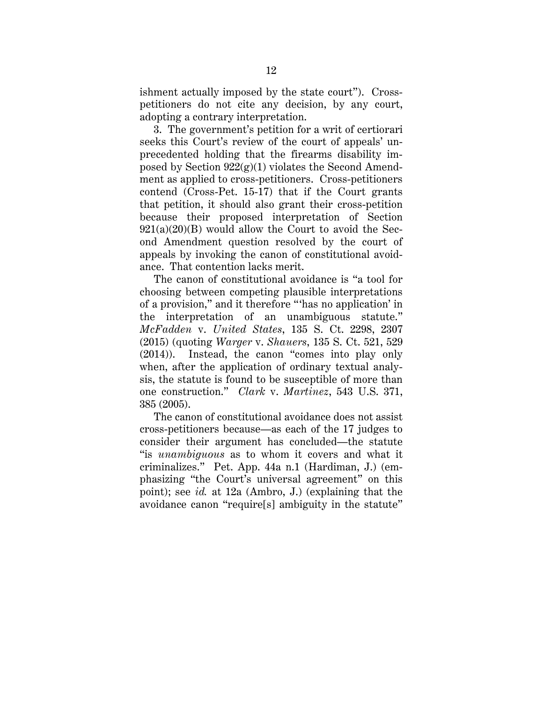ishment actually imposed by the state court"). Crosspetitioners do not cite any decision, by any court, adopting a contrary interpretation.

3. The government's petition for a writ of certiorari seeks this Court's review of the court of appeals' unprecedented holding that the firearms disability imposed by Section  $922(g)(1)$  violates the Second Amendment as applied to cross-petitioners. Cross-petitioners contend (Cross-Pet. 15-17) that if the Court grants that petition, it should also grant their cross-petition because their proposed interpretation of Section  $921(a)(20)(B)$  would allow the Court to avoid the Second Amendment question resolved by the court of appeals by invoking the canon of constitutional avoidance. That contention lacks merit.

The canon of constitutional avoidance is "a tool for choosing between competing plausible interpretations of a provision," and it therefore "'has no application' in the interpretation of an unambiguous statute." *McFadden* v. *United States*, 135 S. Ct. 2298, 2307 (2015) (quoting *Warger* v. *Shauers*, 135 S. Ct. 521, 529 (2014)). Instead, the canon "comes into play only when, after the application of ordinary textual analysis, the statute is found to be susceptible of more than one construction." *Clark* v. *Martinez*, 543 U.S. 371, 385 (2005).

The canon of constitutional avoidance does not assist cross-petitioners because—as each of the 17 judges to consider their argument has concluded—the statute "is *unambiguous* as to whom it covers and what it criminalizes." Pet. App. 44a n.1 (Hardiman, J.) (emphasizing "the Court's universal agreement" on this point); see *id.* at 12a (Ambro, J.) (explaining that the avoidance canon "require[s] ambiguity in the statute"